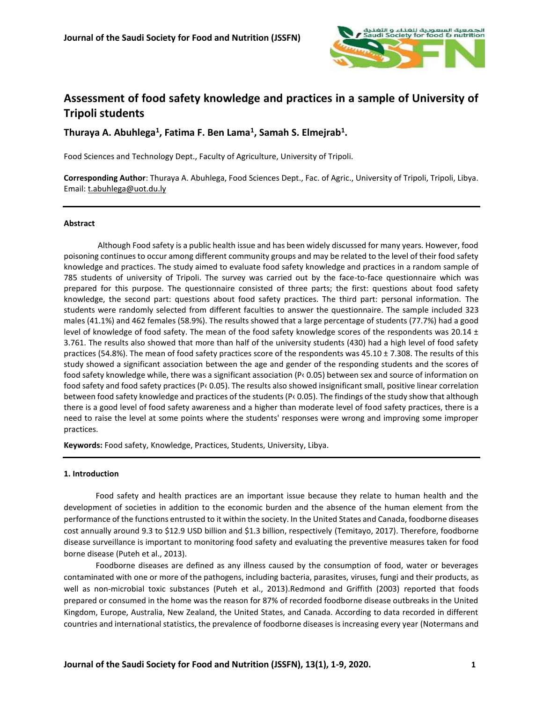

# **Assessment of food safety knowledge and practices in a sample of University of Tripoli students**

**Thuraya A. Abuhlega<sup>1</sup> , Fatima F. Ben Lama<sup>1</sup> , Samah S. Elmejrab<sup>1</sup> .**

Food Sciences and Technology Dept., Faculty of Agriculture, University of Tripoli.

**Corresponding Author**: Thuraya A. Abuhlega, Food Sciences Dept., Fac. of Agric., University of Tripoli, Tripoli, Libya. Email: [t.abuhlega@uot.du.ly](mailto:t.abuhlega@uot.du.ly)

# **Abstract**

Although Food safety is a public health issue and has been widely discussed for many years. However, food poisoning continues to occur among different community groups and may be related to the level of their food safety knowledge and practices. The study aimed to evaluate food safety knowledge and practices in a random sample of 785 students of university of Tripoli. The survey was carried out by the face-to-face questionnaire which was prepared for this purpose. The questionnaire consisted of three parts; the first: questions about food safety knowledge, the second part: questions about food safety practices. The third part: personal information. The students were randomly selected from different faculties to answer the questionnaire. The sample included 323 males (41.1%) and 462 females (58.9%). The results showed that a large percentage of students (77.7%) had a good level of knowledge of food safety. The mean of the food safety knowledge scores of the respondents was 20.14  $\pm$ 3.761. The results also showed that more than half of the university students (430) had a high level of food safety practices (54.8%). The mean of food safety practices score of the respondents was 45.10 ± 7.308. The results of this study showed a significant association between the age and gender of the responding students and the scores of food safety knowledge while, there was a significant association (P‹ 0.05) between sex and source of information on food safety and food safety practices (P‹ 0.05). The results also showed insignificant small, positive linear correlation between food safety knowledge and practices of the students (P‹ 0.05). The findings of the study show that although there is a good level of food safety awareness and a higher than moderate level of food safety practices, there is a need to raise the level at some points where the students' responses were wrong and improving some improper practices.

**Keywords:** Food safety, Knowledge, Practices, Students, University, Libya.

### **1. Introduction**

Food safety and health practices are an important issue because they relate to human health and the development of societies in addition to the economic burden and the absence of the human element from the performance of the functions entrusted to it within the society. In the United States and Canada, foodborne diseases cost annually around 9.3 to \$12.9 USD billion and \$1.3 billion, respectively (Temitayo, 2017). Therefore, foodborne disease surveillance is important to monitoring food safety and evaluating the preventive measures taken for food borne disease (Puteh et al., 2013).

Foodborne diseases are defined as any illness caused by the consumption of food, water or beverages contaminated with one or more of the pathogens, including bacteria, parasites, viruses, fungi and their products, as well as non-microbial toxic substances (Puteh et al., 2013).Redmond and Griffith (2003) reported that foods prepared or consumed in the home was the reason for 87% of recorded foodborne disease outbreaks in the United Kingdom, Europe, Australia, New Zealand, the United States, and Canada. According to data recorded in different countries and international statistics, the prevalence of foodborne diseases is increasing every year (Notermans and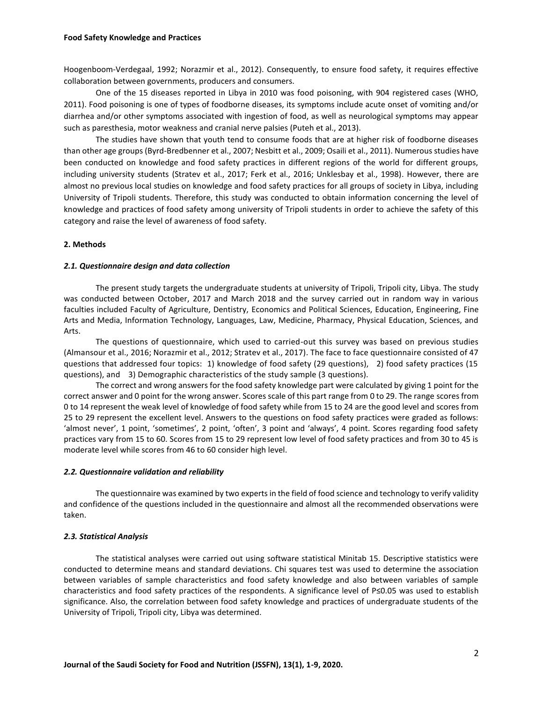Hoogenboom-Verdegaal, 1992; Norazmir et al., 2012). Consequently, to ensure food safety, it requires effective collaboration between governments, producers and consumers.

One of the 15 diseases reported in Libya in 2010 was food poisoning, with 904 registered cases (WHO, 2011). Food poisoning is one of types of foodborne diseases, its symptoms include acute onset of vomiting and/or diarrhea and/or other symptoms associated with ingestion of food, as well as neurological symptoms may appear such as paresthesia, motor weakness and cranial nerve palsies (Puteh et al., 2013).

The studies have shown that youth tend to consume foods that are at higher risk of foodborne diseases than other age groups (Byrd-Bredbenner et al., 2007; Nesbitt et al., 2009; Osaili et al., 2011). Numerous studies have been conducted on knowledge and food safety practices in different regions of the world for different groups, including university students (Stratev et al., 2017; Ferk et al., 2016; Unklesbay et al., 1998). However, there are almost no previous local studies on knowledge and food safety practices for all groups of society in Libya, including University of Tripoli students. Therefore, this study was conducted to obtain information concerning the level of knowledge and practices of food safety among university of Tripoli students in order to achieve the safety of this category and raise the level of awareness of food safety.

### **2. Methods**

#### *2.1. Questionnaire design and data collection*

The present study targets the undergraduate students at university of Tripoli, Tripoli city, Libya. The study was conducted between October, 2017 and March 2018 and the survey carried out in random way in various faculties included Faculty of Agriculture, Dentistry, Economics and Political Sciences, Education, Engineering, Fine Arts and Media, Information Technology, Languages, Law, Medicine, Pharmacy, Physical Education, Sciences, and Arts.

The questions of questionnaire, which used to carried-out this survey was based on previous studies (Almansour et al., 2016; Norazmir et al., 2012; Stratev et al., 2017). The face to face questionnaire consisted of 47 questions that addressed four topics: 1) knowledge of food safety (29 questions), 2) food safety practices (15 questions), and 3) Demographic characteristics of the study sample (3 questions).

The correct and wrong answers for the food safety knowledge part were calculated by giving 1 point for the correct answer and 0 point for the wrong answer. Scores scale of this part range from 0 to 29. The range scores from 0 to 14 represent the weak level of knowledge of food safety while from 15 to 24 are the good level and scores from 25 to 29 represent the excellent level. Answers to the questions on food safety practices were graded as follows: 'almost never', 1 point, 'sometimes', 2 point, 'often', 3 point and 'always', 4 point. Scores regarding food safety practices vary from 15 to 60. Scores from 15 to 29 represent low level of food safety practices and from 30 to 45 is moderate level while scores from 46 to 60 consider high level.

### *2.2. Questionnaire validation and reliability*

The questionnaire was examined by two experts in the field of food science and technology to verify validity and confidence of the questions included in the questionnaire and almost all the recommended observations were taken.

### *2.3. Statistical Analysis*

The statistical analyses were carried out using software statistical Minitab 15. Descriptive statistics were conducted to determine means and standard deviations. Chi squares test was used to determine the association between variables of sample characteristics and food safety knowledge and also between variables of sample characteristics and food safety practices of the respondents. A significance level of P≤0.05 was used to establish significance. Also, the correlation between food safety knowledge and practices of undergraduate students of the University of Tripoli, Tripoli city, Libya was determined.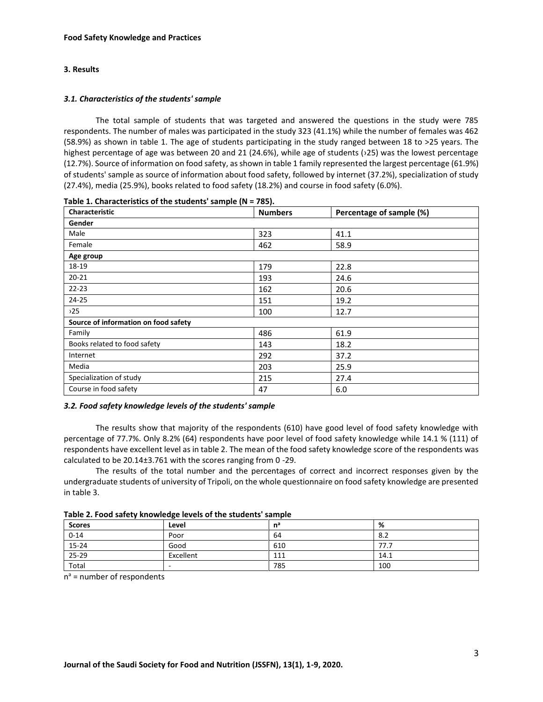# **3. Results**

# *3.1. Characteristics of the students' sample*

The total sample of students that was targeted and answered the questions in the study were 785 respondents. The number of males was participated in the study 323 (41.1%) while the number of females was 462 (58.9%) as shown in table 1. The age of students participating in the study ranged between 18 to >25 years. The highest percentage of age was between 20 and 21 (24.6%), while age of students (›25) was the lowest percentage (12.7%). Source of information on food safety, as shown in table 1 family represented the largest percentage (61.9%) of students' sample as source of information about food safety, followed by internet (37.2%), specialization of study (27.4%), media (25.9%), books related to food safety (18.2%) and course in food safety (6.0%).

| <b>Characteristic</b>                | <b>Numbers</b> | Percentage of sample (%) |
|--------------------------------------|----------------|--------------------------|
| Gender                               |                |                          |
| Male                                 | 323            | 41.1                     |
| Female                               | 462            | 58.9                     |
| Age group                            |                |                          |
| 18-19                                | 179            | 22.8                     |
| $20 - 21$                            | 193            | 24.6                     |
| $22 - 23$                            | 162            | 20.6                     |
| 24-25                                | 151            | 19.2                     |
| 25                                   | 100            | 12.7                     |
| Source of information on food safety |                |                          |
| Family                               | 486            | 61.9                     |
| Books related to food safety         | 143            | 18.2                     |
| Internet                             | 292            | 37.2                     |
| Media                                | 203            | 25.9                     |
| Specialization of study              | 215            | 27.4                     |
| Course in food safety                | 47             | 6.0                      |

**Table 1. Characteristics of the students' sample (N = 785).** 

# *3.2. Food safety knowledge levels of the students' sample*

The results show that majority of the respondents (610) have good level of food safety knowledge with percentage of 77.7%. Only 8.2% (64) respondents have poor level of food safety knowledge while 14.1 % (111) of respondents have excellent level as in table 2. The mean of the food safety knowledge score of the respondents was calculated to be 20.14±3.761 with the scores ranging from 0 -29.

The results of the total number and the percentages of correct and incorrect responses given by the undergraduate students of university of Tripoli, on the whole questionnaire on food safety knowledge are presented in table 3.

| Table 2. Food safety knowledge levels of the students' sample |  |  |
|---------------------------------------------------------------|--|--|
|---------------------------------------------------------------|--|--|

|               | . .                      |     |      |
|---------------|--------------------------|-----|------|
| <b>Scores</b> | Level                    | nª  | %    |
| $0 - 14$      | Poor                     | 64  | 8.2  |
| $15 - 24$     | Good                     | 610 | 77.7 |
| 25-29         | Excellent                | 111 | 14.1 |
| Total         | $\overline{\phantom{a}}$ | 785 | 100  |

n <sup>a</sup> = number of respondents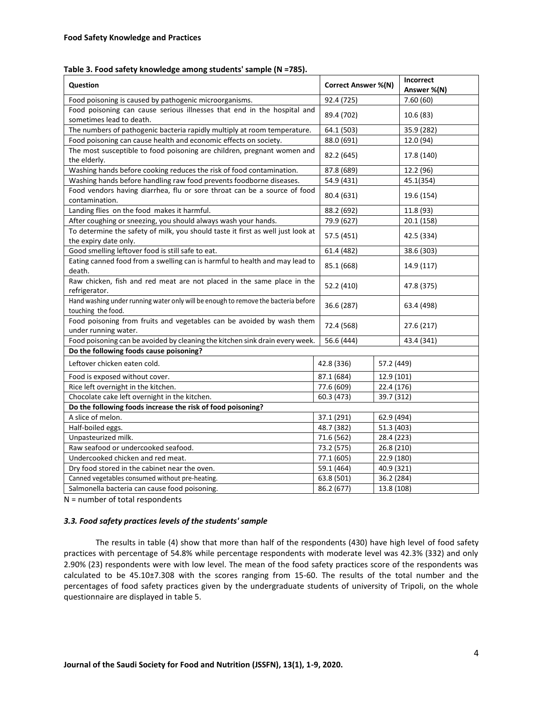### **Table 3. Food safety knowledge among students' sample (N =785).**

| Question                                                                                                 | <b>Correct Answer %(N)</b> |                          | Incorrect<br>Answer %(N) |  |  |
|----------------------------------------------------------------------------------------------------------|----------------------------|--------------------------|--------------------------|--|--|
| Food poisoning is caused by pathogenic microorganisms.                                                   | 92.4 (725)                 |                          | 7.60(60)                 |  |  |
| Food poisoning can cause serious illnesses that end in the hospital and<br>sometimes lead to death.      | 89.4 (702)                 |                          | 10.6 (83)                |  |  |
| The numbers of pathogenic bacteria rapidly multiply at room temperature.                                 | 64.1 (503)                 |                          | 35.9 (282)               |  |  |
| Food poisoning can cause health and economic effects on society.                                         | 88.0 (691)                 |                          | 12.0 (94)                |  |  |
| The most susceptible to food poisoning are children, pregnant women and<br>the elderly.                  | 82.2 (645)                 |                          | 17.8 (140)               |  |  |
| Washing hands before cooking reduces the risk of food contamination.                                     | 87.8 (689)                 |                          | 12.2 (96)                |  |  |
| Washing hands before handling raw food prevents foodborne diseases.                                      | 54.9 (431)                 |                          | 45.1(354)                |  |  |
| Food vendors having diarrhea, flu or sore throat can be a source of food<br>contamination.               | 80.4 (631)                 |                          | 19.6 (154)               |  |  |
| Landing flies on the food makes it harmful.                                                              | 88.2 (692)                 |                          | 11.8 (93)                |  |  |
| After coughing or sneezing, you should always wash your hands.                                           | 79.9 (627)                 |                          | 20.1 (158)               |  |  |
| To determine the safety of milk, you should taste it first as well just look at<br>the expiry date only. | 57.5 (451)                 |                          | 42.5 (334)               |  |  |
| Good smelling leftover food is still safe to eat.                                                        | 61.4 (482)                 |                          | 38.6 (303)               |  |  |
| Eating canned food from a swelling can is harmful to health and may lead to<br>death.                    | 85.1 (668)                 |                          | 14.9 (117)               |  |  |
| Raw chicken, fish and red meat are not placed in the same place in the<br>refrigerator.                  | 52.2 (410)                 |                          | 47.8 (375)               |  |  |
| Hand washing under running water only will be enough to remove the bacteria before<br>touching the food. | 36.6 (287)                 |                          | 63.4 (498)               |  |  |
| Food poisoning from fruits and vegetables can be avoided by wash them<br>under running water.            | 72.4 (568)                 |                          | 27.6 (217)               |  |  |
| Food poisoning can be avoided by cleaning the kitchen sink drain every week.                             | 56.6 (444)                 |                          | 43.4 (341)               |  |  |
| Do the following foods cause poisoning?                                                                  |                            |                          |                          |  |  |
| Leftover chicken eaten cold.                                                                             | 42.8 (336)                 | 57.2 (449)               |                          |  |  |
| Food is exposed without cover.                                                                           | 87.1 (684)                 |                          | 12.9 (101)               |  |  |
| Rice left overnight in the kitchen.                                                                      | 77.6 (609)                 | 22.4 (176)               |                          |  |  |
| Chocolate cake left overnight in the kitchen.                                                            | 60.3 (473)                 | 39.7 (312)               |                          |  |  |
| Do the following foods increase the risk of food poisoning?                                              |                            |                          |                          |  |  |
| A slice of melon.                                                                                        | 37.1 (291)                 | 62.9 (494)               |                          |  |  |
| Half-boiled eggs.                                                                                        | 48.7 (382)                 | 51.3 (403)               |                          |  |  |
| Unpasteurized milk.                                                                                      | 71.6 (562)                 | 28.4 (223)               |                          |  |  |
| Raw seafood or undercooked seafood.                                                                      | 73.2 (575)                 | 26.8 (210)               |                          |  |  |
| Undercooked chicken and red meat.                                                                        | 77.1 (605)                 | 22.9 (180)               |                          |  |  |
| Dry food stored in the cabinet near the oven.                                                            | 59.1 (464)                 | 40.9 (321)               |                          |  |  |
| Canned vegetables consumed without pre-heating.                                                          | 63.8 (501)                 | 36.2 (284)               |                          |  |  |
| Salmonella bacteria can cause food poisoning.                                                            |                            | 86.2 (677)<br>13.8 (108) |                          |  |  |

N = number of total respondents

# *3.3. Food safety practices levels of the students' sample*

The results in table (4) show that more than half of the respondents (430) have high level of food safety practices with percentage of 54.8% while percentage respondents with moderate level was 42.3% (332) and only 2.90% (23) respondents were with low level. The mean of the food safety practices score of the respondents was calculated to be 45.10±7.308 with the scores ranging from 15-60. The results of the total number and the percentages of food safety practices given by the undergraduate students of university of Tripoli, on the whole questionnaire are displayed in table 5.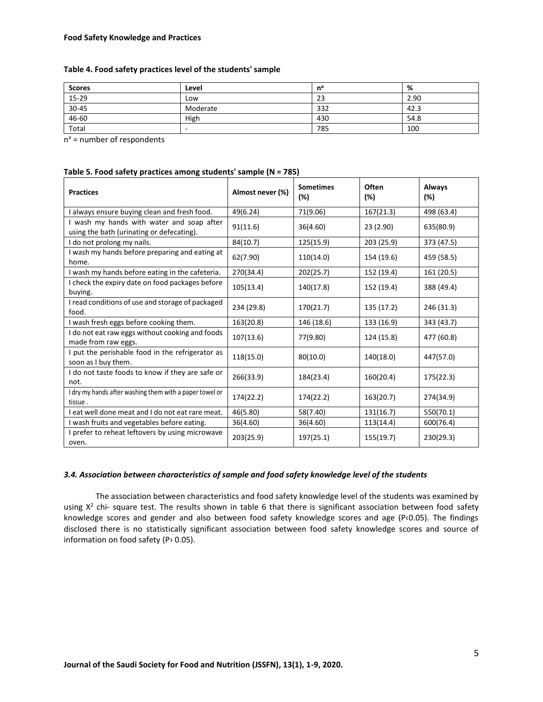# **Table 4. Food safety practices level of the students' sample**

| <b>Scores</b> | Level    | $n^a$ | %    |
|---------------|----------|-------|------|
| 15-29         | Low      | 23    | 2.90 |
| 30-45         | Moderate | 332   | 42.3 |
| 46-60         | High     | 430   | 54.8 |
| Total         |          | 785   | 100  |

n<sup>a</sup> = number of respondents

| <b>Practices</b>                                                                       | Almost never (%) | <b>Sometimes</b><br>(%) | Often<br>(%) | Always<br>(%) |
|----------------------------------------------------------------------------------------|------------------|-------------------------|--------------|---------------|
| I always ensure buying clean and fresh food.                                           | 49(6.24)         | 71(9.06)                | 167(21.3)    | 498 (63.4)    |
| I wash my hands with water and soap after<br>using the bath (urinating or defecating). | 91(11.6)         | 36(4.60)                | 23 (2.90)    | 635(80.9)     |
| I do not prolong my nails.                                                             | 84(10.7)         | 125(15.9)               | 203 (25.9)   | 373 (47.5)    |
| I wash my hands before preparing and eating at<br>home.                                | 62(7.90)         | 110(14.0)               | 154 (19.6)   | 459 (58.5)    |
| I wash my hands before eating in the cafeteria.                                        | 270(34.4)        | 202(25.7)               | 152 (19.4)   | 161 (20.5)    |
| I check the expiry date on food packages before<br>buying.                             | 105(13.4)        | 140(17.8)               | 152 (19.4)   | 388 (49.4)    |
| I read conditions of use and storage of packaged<br>food.                              | 234 (29.8)       | 170(21.7)               | 135 (17.2)   | 246 (31.3)    |
| I wash fresh eggs before cooking them.                                                 | 163(20.8)        | 146 (18.6)              | 133 (16.9)   | 343 (43.7)    |
| I do not eat raw eggs without cooking and foods<br>made from raw eggs.                 | 107(13.6)        | 77(9.80)                | 124 (15.8)   | 477 (60.8)    |
| I put the perishable food in the refrigerator as<br>soon as I buy them.                | 118(15.0)        | 80(10.0)                | 140(18.0)    | 447(57.0)     |
| I do not taste foods to know if they are safe or<br>not.                               | 266(33.9)        | 184(23.4)               | 160(20.4)    | 175(22.3)     |
| I dry my hands after washing them with a paper towel or<br>tissue.                     | 174(22.2)        | 174(22.2)               | 163(20.7)    | 274(34.9)     |
| I eat well done meat and I do not eat rare meat.                                       | 46(5.80)         | 58(7.40)                | 131(16.7)    | 550(70.1)     |
| I wash fruits and vegetables before eating.                                            | 36(4.60)         | 36(4.60)                | 113(14.4)    | 600(76.4)     |
| I prefer to reheat leftovers by using microwave<br>oven.                               | 203(25.9)        | 197(25.1)               | 155(19.7)    | 230(29.3)     |

### **Table 5. Food safety practices among students' sample (N = 785)**

# *3.4. Association between characteristics of sample and food safety knowledge level of the students*

The association between characteristics and food safety knowledge level of the students was examined by using X<sup>2</sup> chi- square test. The results shown in table 6 that there is significant association between food safety knowledge scores and gender and also between food safety knowledge scores and age (P‹0.05). The findings disclosed there is no statistically significant association between food safety knowledge scores and source of information on food safety (P› 0.05).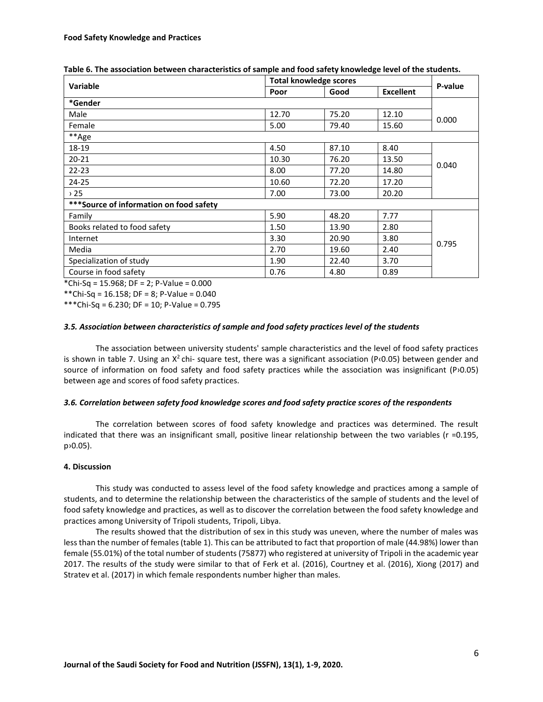| Variable                                 | <b>Total knowledge scores</b> |       |                  |         |
|------------------------------------------|-------------------------------|-------|------------------|---------|
|                                          | Poor                          | Good  | <b>Excellent</b> | P-value |
| *Gender                                  |                               |       |                  |         |
| Male                                     | 12.70                         | 75.20 | 12.10            | 0.000   |
| Female                                   | 5.00                          | 79.40 | 15.60            |         |
| **Age                                    |                               |       |                  |         |
| 18-19                                    | 4.50                          | 87.10 | 8.40             |         |
| $20 - 21$                                | 10.30                         | 76.20 | 13.50            |         |
| $22 - 23$                                | 8.00                          | 77.20 | 14.80            | 0.040   |
| $24 - 25$                                | 10.60                         | 72.20 | 17.20            |         |
| 25                                       | 7.00                          | 73.00 | 20.20            |         |
| *** Source of information on food safety |                               |       |                  |         |
| Family                                   | 5.90                          | 48.20 | 7.77             |         |
| Books related to food safety             | 1.50                          | 13.90 | 2.80             |         |
| Internet                                 | 3.30                          | 20.90 | 3.80             | 0.795   |
| Media                                    | 2.70                          | 19.60 | 2.40             |         |
| Specialization of study                  | 1.90                          | 22.40 | 3.70             |         |
| Course in food safety                    | 0.76                          | 4.80  | 0.89             |         |

| Table 6. The association between characteristics of sample and food safety knowledge level of the students. |  |  |
|-------------------------------------------------------------------------------------------------------------|--|--|
|-------------------------------------------------------------------------------------------------------------|--|--|

\*Chi-Sq = 15.968; DF = 2; P-Value = 0.000

\*\*Chi-Sq = 16.158; DF = 8; P-Value = 0.040

\*\*\*Chi-Sq = 6.230; DF = 10; P-Value = 0.795

# *3.5. Association between characteristics of sample and food safety practices level of the students*

The association between university students' sample characteristics and the level of food safety practices is shown in table 7. Using an  $X^2$ chi- square test, there was a significant association (P $\cdot$ 0.05) between gender and source of information on food safety and food safety practices while the association was insignificant (P›0.05) between age and scores of food safety practices.

# *3.6. Correlation between safety food knowledge scores and food safety practice scores of the respondents*

The correlation between scores of food safety knowledge and practices was determined. The result indicated that there was an insignificant small, positive linear relationship between the two variables (r =0.195, p›0.05).

# **4. Discussion**

This study was conducted to assess level of the food safety knowledge and practices among a sample of students, and to determine the relationship between the characteristics of the sample of students and the level of food safety knowledge and practices, as well as to discover the correlation between the food safety knowledge and practices among University of Tripoli students, Tripoli, Libya.

The results showed that the distribution of sex in this study was uneven, where the number of males was less than the number of females (table 1). This can be attributed to fact that proportion of male (44.98%) lower than female (55.01%) of the total number of students (75877) who registered at university of Tripoli in the academic year 2017. The results of the study were similar to that of Ferk et al. (2016), Courtney et al. (2016), Xiong (2017) and Stratev et al. (2017) in which female respondents number higher than males.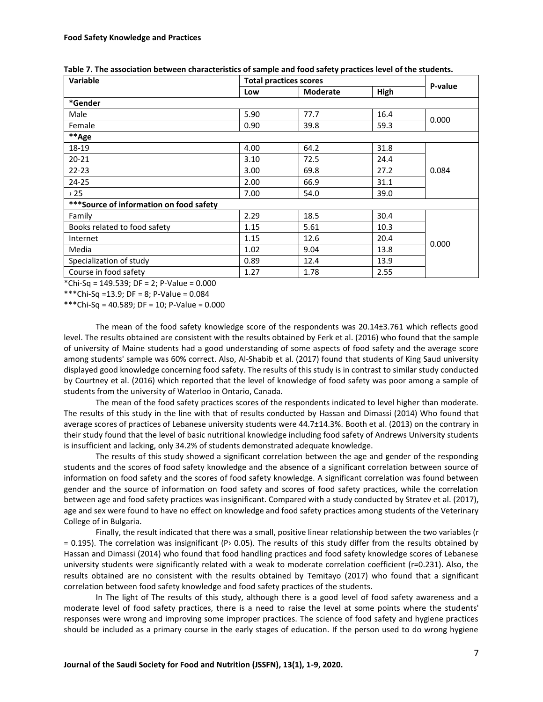| Variable                                 | <b>Total practices scores</b> |                 |      |         |
|------------------------------------------|-------------------------------|-----------------|------|---------|
|                                          | Low                           | <b>Moderate</b> | High | P-value |
| *Gender                                  |                               |                 |      |         |
| Male                                     | 5.90                          | 77.7            | 16.4 | 0.000   |
| Female                                   | 0.90                          | 39.8            | 59.3 |         |
| **Age                                    |                               |                 |      |         |
| 18-19                                    | 4.00                          | 64.2            | 31.8 |         |
| $20 - 21$                                | 3.10                          | 72.5            | 24.4 |         |
| $22 - 23$                                | 3.00                          | 69.8            | 27.2 | 0.084   |
| 24-25                                    | 2.00                          | 66.9            | 31.1 |         |
| , 25                                     | 7.00                          | 54.0            | 39.0 |         |
| *** Source of information on food safety |                               |                 |      |         |
| Family                                   | 2.29                          | 18.5            | 30.4 |         |
| Books related to food safety             | 1.15                          | 5.61            | 10.3 | 0.000   |
| Internet                                 | 1.15                          | 12.6            | 20.4 |         |
| Media                                    | 1.02                          | 9.04            | 13.8 |         |
| Specialization of study                  | 0.89                          | 12.4            | 13.9 |         |
| Course in food safety                    | 1.27                          | 1.78            | 2.55 |         |

**Table 7. The association between characteristics of sample and food safety practices level of the students.**

\*Chi-Sq = 149.539; DF = 2; P-Value = 0.000

\*\*\*Chi-Sq =13.9; DF = 8; P-Value = 0.084

\*\*\*Chi-Sq = 40.589; DF = 10; P-Value = 0.000

The mean of the food safety knowledge score of the respondents was 20.14±3.761 which reflects good level. The results obtained are consistent with the results obtained by Ferk et al. (2016) who found that the sample of university of Maine students had a good understanding of some aspects of food safety and the average score among students' sample was 60% correct. Also, Al-Shabib et al. (2017) found that students of King Saud university displayed good knowledge concerning food safety. The results of this study is in contrast to similar study conducted by Courtney et al. (2016) which reported that the level of knowledge of food safety was poor among a sample of students from the university of Waterloo in Ontario, Canada.

The mean of the food safety practices scores of the respondents indicated to level higher than moderate. The results of this study in the line with that of results conducted by Hassan and Dimassi (2014) Who found that average scores of practices of Lebanese university students were 44.7±14.3%. Booth et al. (2013) on the contrary in their study found that the level of basic nutritional knowledge including food safety of Andrews University students is insufficient and lacking, only 34.2% of students demonstrated adequate knowledge.

The results of this study showed a significant correlation between the age and gender of the responding students and the scores of food safety knowledge and the absence of a significant correlation between source of information on food safety and the scores of food safety knowledge. A significant correlation was found between gender and the source of information on food safety and scores of food safety practices, while the correlation between age and food safety practices was insignificant. Compared with a study conducted by Stratev et al. (2017), age and sex were found to have no effect on knowledge and food safety practices among students of the Veterinary College of in Bulgaria.

Finally, the result indicated that there was a small, positive linear relationship between the two variables (r  $= 0.195$ ). The correlation was insignificant (P> 0.05). The results of this study differ from the results obtained by Hassan and Dimassi (2014) who found that food handling practices and food safety knowledge scores of Lebanese university students were significantly related with a weak to moderate correlation coefficient (r=0.231). Also, the results obtained are no consistent with the results obtained by Temitayo (2017) who found that a significant correlation between food safety knowledge and food safety practices of the students.

In The light of The results of this study, although there is a good level of food safety awareness and a moderate level of food safety practices, there is a need to raise the level at some points where the students' responses were wrong and improving some improper practices. The science of food safety and hygiene practices should be included as a primary course in the early stages of education. If the person used to do wrong hygiene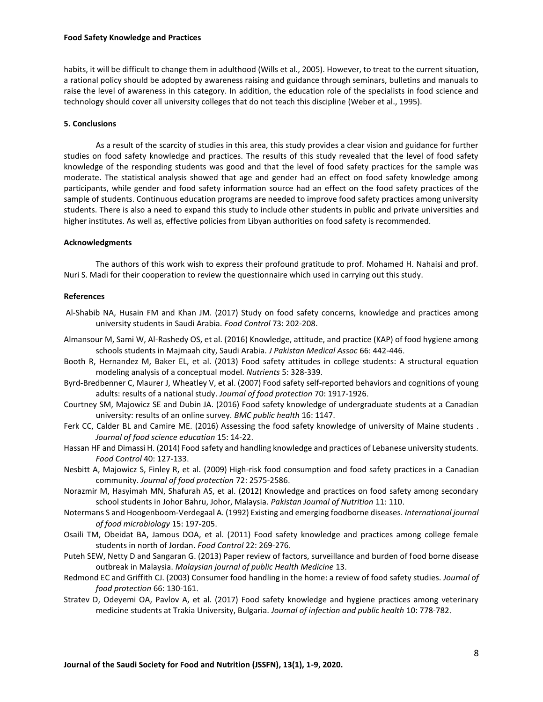### **Food Safety Knowledge and Practices**

habits, it will be difficult to change them in adulthood (Wills et al., 2005). However, to treat to the current situation, a rational policy should be adopted by awareness raising and guidance through seminars, bulletins and manuals to raise the level of awareness in this category. In addition, the education role of the specialists in food science and technology should cover all university colleges that do not teach this discipline (Weber et al., 1995).

### **5. Conclusions**

As a result of the scarcity of studies in this area, this study provides a clear vision and guidance for further studies on food safety knowledge and practices. The results of this study revealed that the level of food safety knowledge of the responding students was good and that the level of food safety practices for the sample was moderate. The statistical analysis showed that age and gender had an effect on food safety knowledge among participants, while gender and food safety information source had an effect on the food safety practices of the sample of students. Continuous education programs are needed to improve food safety practices among university students. There is also a need to expand this study to include other students in public and private universities and higher institutes. As well as, effective policies from Libyan authorities on food safety is recommended.

### **Acknowledgments**

The authors of this work wish to express their profound gratitude to prof. Mohamed H. Nahaisi and prof. Nuri S. Madi for their cooperation to review the questionnaire which used in carrying out this study.

### **References**

- Al-Shabib NA, Husain FM and Khan JM. (2017) Study on food safety concerns, knowledge and practices among university students in Saudi Arabia. *Food Control* 73: 202-208.
- Almansour M, Sami W, Al-Rashedy OS, et al. (2016) Knowledge, attitude, and practice (KAP) of food hygiene among schools students in Majmaah city, Saudi Arabia. *J Pakistan Medical Assoc* 66: 442-446.
- Booth R, Hernandez M, Baker EL, et al. (2013) Food safety attitudes in college students: A structural equation modeling analysis of a conceptual model. *Nutrients* 5: 328-339.
- Byrd-Bredbenner C, Maurer J, Wheatley V, et al. (2007) Food safety self-reported behaviors and cognitions of young adults: results of a national study. *Journal of food protection* 70: 1917-1926.
- Courtney SM, Majowicz SE and Dubin JA. (2016) Food safety knowledge of undergraduate students at a Canadian university: results of an online survey. *BMC public health* 16: 1147.
- Ferk CC, Calder BL and Camire ME. (2016) Assessing the food safety knowledge of university of Maine students . *Journal of food science education* 15: 14-22.
- Hassan HF and Dimassi H. (2014) Food safety and handling knowledge and practices of Lebanese university students. *Food Control* 40: 127-133.
- Nesbitt A, Majowicz S, Finley R, et al. (2009) High-risk food consumption and food safety practices in a Canadian community. *Journal of food protection* 72: 2575-2586.
- Norazmir M, Hasyimah MN, Shafurah AS, et al. (2012) Knowledge and practices on food safety among secondary school students in Johor Bahru, Johor, Malaysia. *Pakistan Journal of Nutrition* 11: 110.
- Notermans S and Hoogenboom-Verdegaal A. (1992) Existing and emerging foodborne diseases. *International journal of food microbiology* 15: 197-205.
- Osaili TM, Obeidat BA, Jamous DOA, et al. (2011) Food safety knowledge and practices among college female students in north of Jordan. *Food Control* 22: 269-276.
- Puteh SEW, Netty D and Sangaran G. (2013) Paper review of factors, surveillance and burden of food borne disease outbreak in Malaysia. *Malaysian journal of public Health Medicine* 13.
- Redmond EC and Griffith CJ. (2003) Consumer food handling in the home: a review of food safety studies. *Journal of food protection* 66: 130-161.
- Stratev D, Odeyemi OA, Pavlov A, et al. (2017) Food safety knowledge and hygiene practices among veterinary medicine students at Trakia University, Bulgaria. *Journal of infection and public health* 10: 778-782.